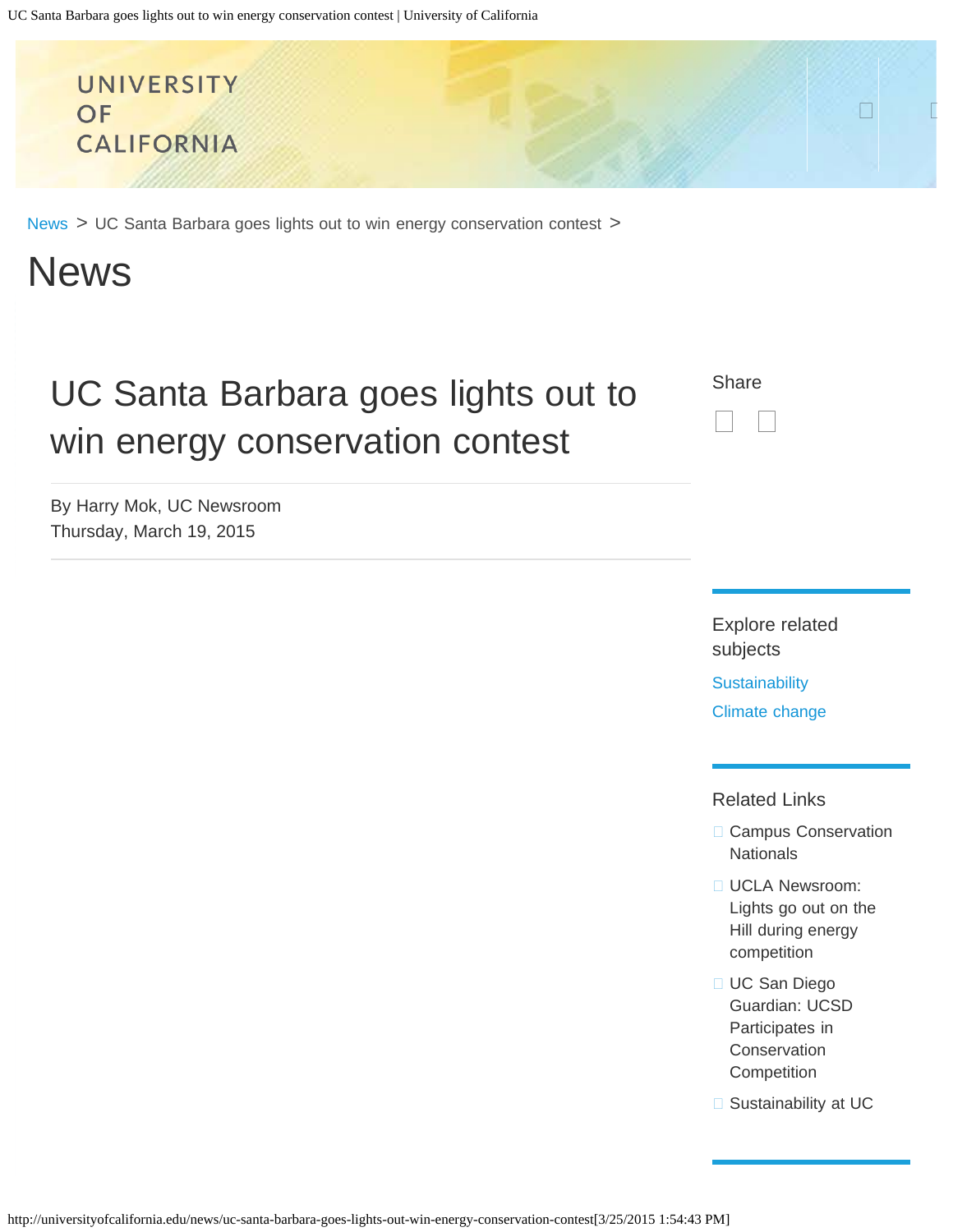<span id="page-0-0"></span>

[News](http://universityofcalifornia.edu/news) > UC Santa Barbara goes lights out to win energy conservation contest >

# News

# UC Santa Barbara goes lights out to win energy conservation contest

By Harry Mok, UC Newsroom Thursday, March 19, 2015



Explore related subjects

**[Sustainability](http://universityofcalifornia.edu/subject/term/sustainability)** [Climate change](http://universityofcalifornia.edu/subject/term/climate-change)

#### Related Links

- **□ [Campus Conservation](http://www.competetoreduce.org/) [Nationals](http://www.competetoreduce.org/)**
- **[UCLA Newsroom:](http://newsroom.ucla.edu/stories/hill-wide-energy-competition-229291)** [Lights go out on the](http://newsroom.ucla.edu/stories/hill-wide-energy-competition-229291) [Hill during energy](http://newsroom.ucla.edu/stories/hill-wide-energy-competition-229291) [competition](http://newsroom.ucla.edu/stories/hill-wide-energy-competition-229291)
- □ [UC San Diego](http://ucsdguardian.org/2015/02/22/ucsd-participates-conservation-competition/) [Guardian: UCSD](http://ucsdguardian.org/2015/02/22/ucsd-participates-conservation-competition/) [Participates in](http://ucsdguardian.org/2015/02/22/ucsd-participates-conservation-competition/) [Conservation](http://ucsdguardian.org/2015/02/22/ucsd-participates-conservation-competition/) **[Competition](http://ucsdguardian.org/2015/02/22/ucsd-participates-conservation-competition/)**
- □ [Sustainability at UC](http://sustainability.universityofcalifornia.edu/)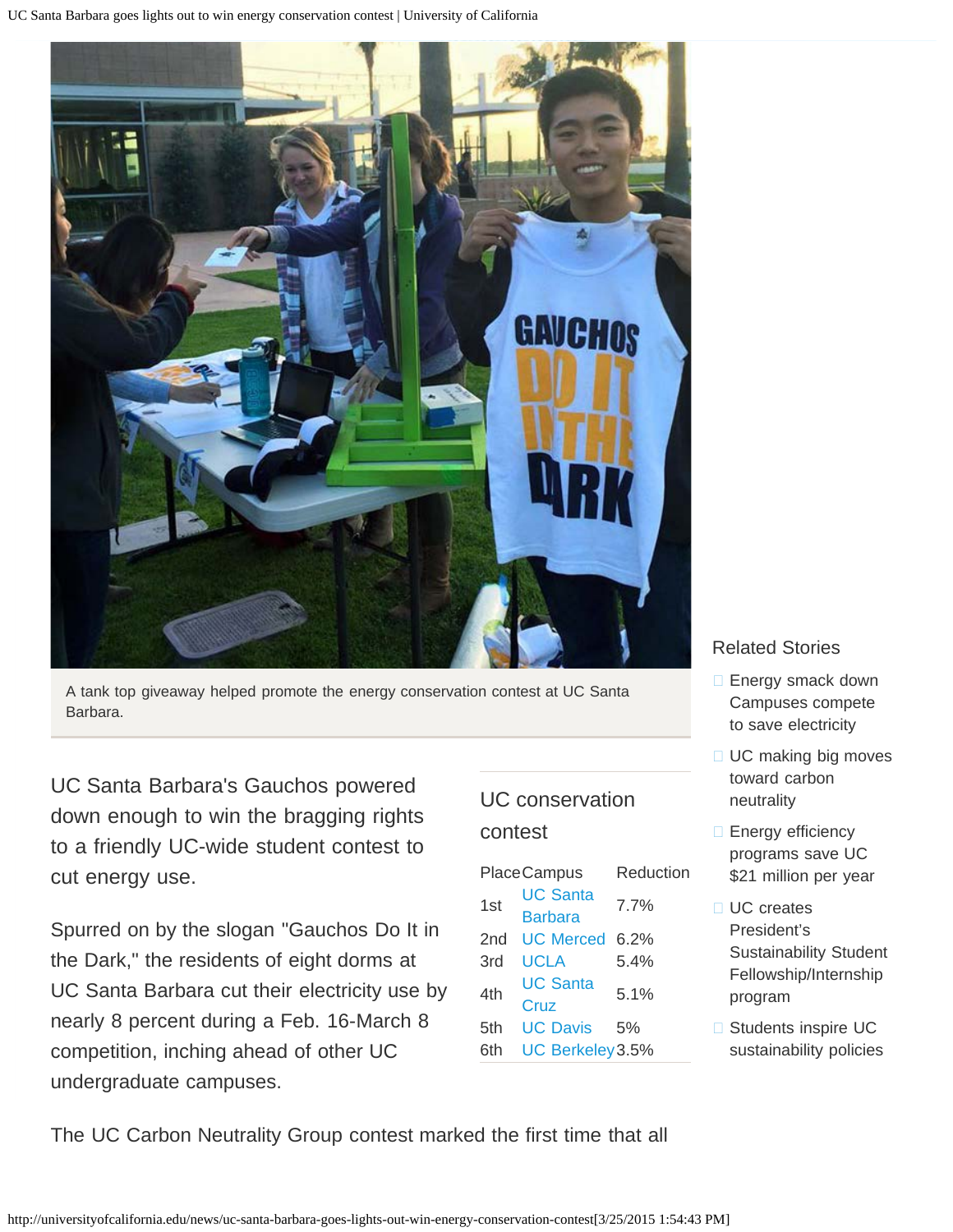UC Santa Barbara goes lights out to win energy conservation contest | University of California



A tank top giveaway helped promote the energy conservation contest at UC Santa Barbara.

UC Santa Barbara's Gauchos powered down enough to win the bragging rights to a friendly UC-wide student contest to cut energy use.

Spurred on by the slogan "Gauchos Do It in the Dark," the residents of eight dorms at UC Santa Barbara cut their electricity use by nearly 8 percent during a Feb. 16-March 8 competition, inching ahead of other UC undergraduate campuses.

## UC conservation contest

|  | <b>PlaceCampus</b> | Reduction        |      |
|--|--------------------|------------------|------|
|  | 1st                | <b>UC Santa</b>  | 7.7% |
|  |                    | <b>Barbara</b>   |      |
|  | 2nd                | UC Merced 6.2%   |      |
|  | 3rd                | UCLA             | 5.4% |
|  | 4th                | <b>UC Santa</b>  | 5.1% |
|  |                    | Cruz             |      |
|  | 5th                | UC Davis         | 5%   |
|  | 6th                | UC Berkeley 3.5% |      |
|  |                    |                  |      |

### Related Stories

- **[Energy smack down](http://universityofcalifornia.edu/news/energy-smack-down-campuses-compete-save-electricity)** [Campuses compete](http://universityofcalifornia.edu/news/energy-smack-down-campuses-compete-save-electricity) [to save electricity](http://universityofcalifornia.edu/news/energy-smack-down-campuses-compete-save-electricity)
- □ [UC making big moves](http://universityofcalifornia.edu/news/uc-making-big-moves-toward-carbon-neutrality) [toward carbon](http://universityofcalifornia.edu/news/uc-making-big-moves-toward-carbon-neutrality) [neutrality](http://universityofcalifornia.edu/news/uc-making-big-moves-toward-carbon-neutrality)
- □ [Energy efficiency](http://universityofcalifornia.edu/news/energy-efficiency-programs-save-uc-21-million-year) [programs save UC](http://universityofcalifornia.edu/news/energy-efficiency-programs-save-uc-21-million-year) [\\$21 million per year](http://universityofcalifornia.edu/news/energy-efficiency-programs-save-uc-21-million-year)
- □ [UC creates](http://universityofcalifornia.edu/press-room/uc-creates-president%E2%80%99s-sustainability-student-fellowshipinternship-program) [President's](http://universityofcalifornia.edu/press-room/uc-creates-president%E2%80%99s-sustainability-student-fellowshipinternship-program) [Sustainability Student](http://universityofcalifornia.edu/press-room/uc-creates-president%E2%80%99s-sustainability-student-fellowshipinternship-program) [Fellowship/Internship](http://universityofcalifornia.edu/press-room/uc-creates-president%E2%80%99s-sustainability-student-fellowshipinternship-program) [program](http://universityofcalifornia.edu/press-room/uc-creates-president%E2%80%99s-sustainability-student-fellowshipinternship-program)
- □ [Students inspire UC](http://universityofcalifornia.edu/news/students-inspire-uc-sustainability-policies) [sustainability policies](http://universityofcalifornia.edu/news/students-inspire-uc-sustainability-policies)

The UC Carbon Neutrality Group contest marked the first time that all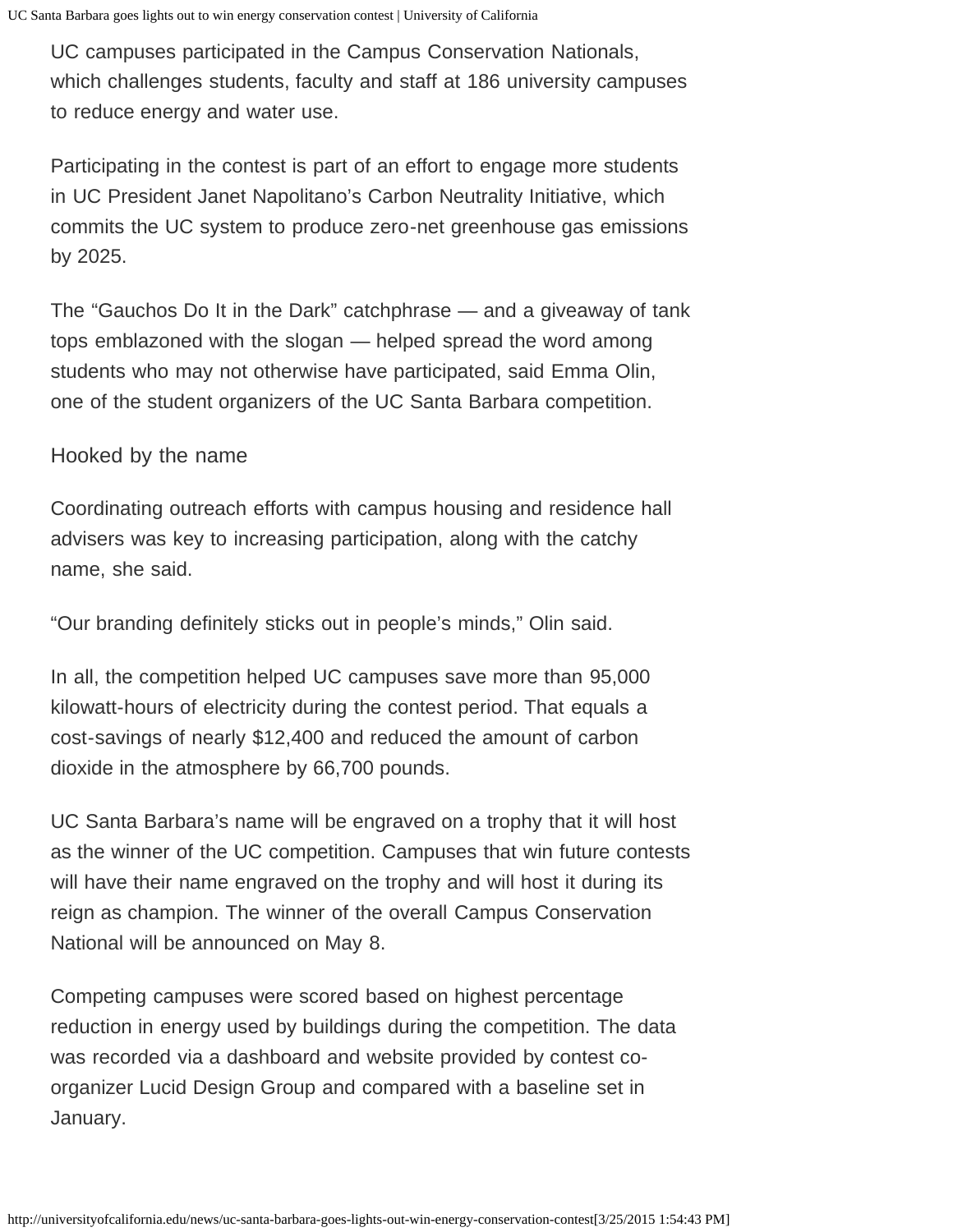UC campuses participated in the Campus Conservation Nationals, which challenges students, faculty and staff at 186 university campuses to reduce energy and water use.

Participating in the contest is part of an effort to engage more students in UC President Janet Napolitano's Carbon Neutrality Initiative, which commits the UC system to produce zero-net greenhouse gas emissions by 2025.

The "Gauchos Do It in the Dark" catchphrase — and a giveaway of tank tops emblazoned with the slogan — helped spread the word among students who may not otherwise have participated, said Emma Olin, one of the student organizers of the UC Santa Barbara competition.

### Hooked by the name

Coordinating outreach efforts with campus housing and residence hall advisers was key to increasing participation, along with the catchy name, she said.

"Our branding definitely sticks out in people's minds," Olin said.

In all, the competition helped UC campuses save more than 95,000 kilowatt-hours of electricity during the contest period. That equals a cost-savings of nearly \$12,400 and reduced the amount of carbon dioxide in the atmosphere by 66,700 pounds.

UC Santa Barbara's name will be engraved on a trophy that it will host as the winner of the UC competition. Campuses that win future contests will have their name engraved on the trophy and will host it during its reign as champion. The winner of the overall Campus Conservation National will be announced on May 8.

Competing campuses were scored based on highest percentage reduction in energy used by buildings during the competition. The data was recorded via a dashboard and website provided by contest coorganizer Lucid Design Group and compared with a baseline set in January.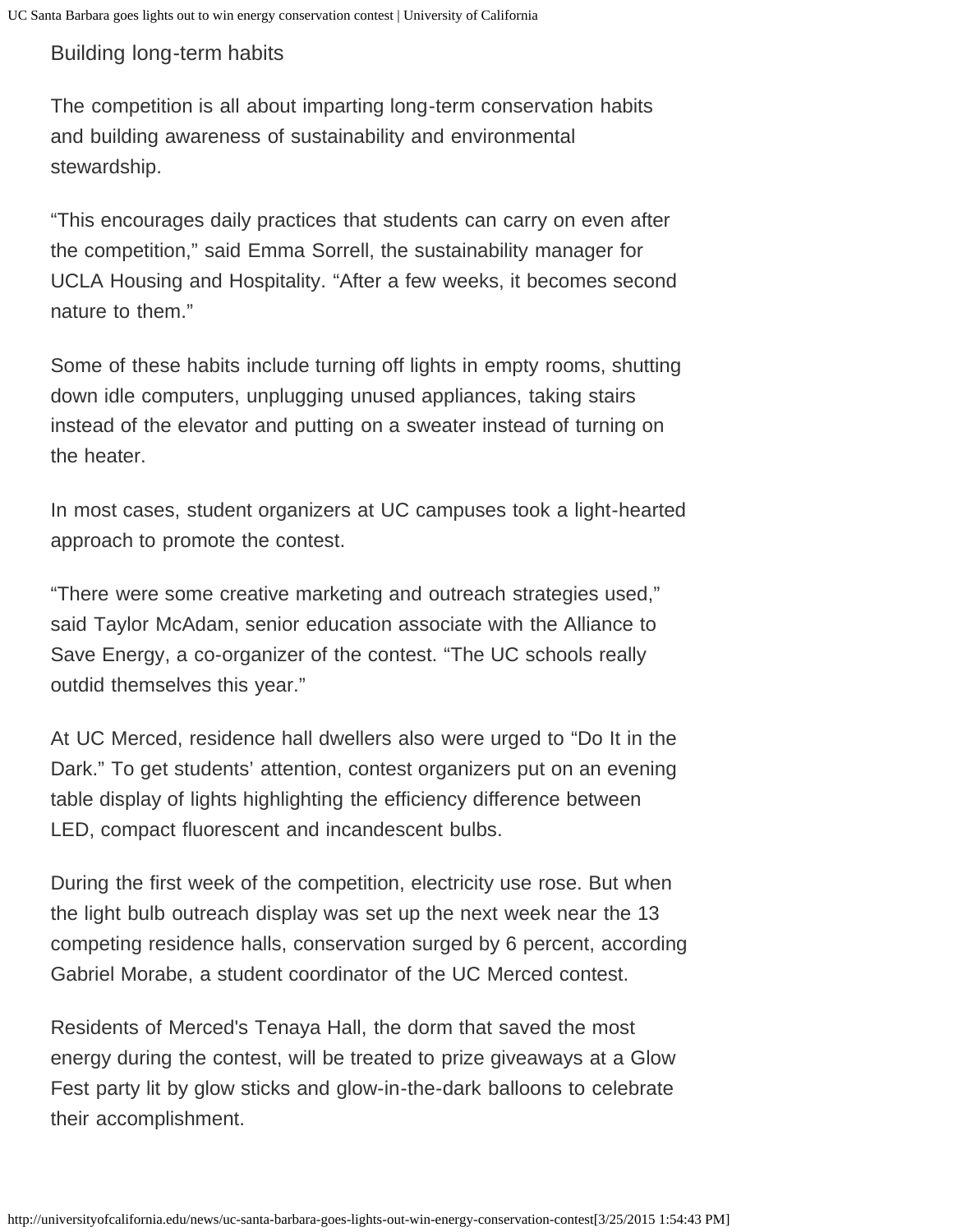## Building long-term habits

The competition is all about imparting long-term conservation habits and building awareness of sustainability and environmental stewardship.

"This encourages daily practices that students can carry on even after the competition," said Emma Sorrell, the sustainability manager for UCLA Housing and Hospitality. "After a few weeks, it becomes second nature to them."

Some of these habits include turning off lights in empty rooms, shutting down idle computers, unplugging unused appliances, taking stairs instead of the elevator and putting on a sweater instead of turning on the heater.

In most cases, student organizers at UC campuses took a light-hearted approach to promote the contest.

"There were some creative marketing and outreach strategies used," said Taylor McAdam, senior education associate with the Alliance to Save Energy, a co-organizer of the contest. "The UC schools really outdid themselves this year."

At UC Merced, residence hall dwellers also were urged to "Do It in the Dark." To get students' attention, contest organizers put on an evening table display of lights highlighting the efficiency difference between LED, compact fluorescent and incandescent bulbs.

During the first week of the competition, electricity use rose. But when the light bulb outreach display was set up the next week near the 13 competing residence halls, conservation surged by 6 percent, according Gabriel Morabe, a student coordinator of the UC Merced contest.

Residents of Merced's Tenaya Hall, the dorm that saved the most energy during the contest, will be treated to prize giveaways at a Glow Fest party lit by glow sticks and glow-in-the-dark balloons to celebrate their accomplishment.